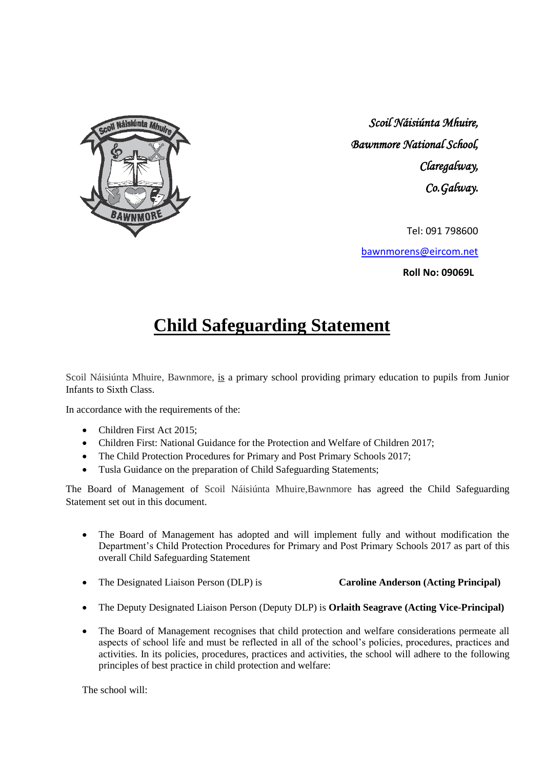

*Scoil Náisiúnta Mhuire, Bawnmore National School, Claregalway, Co.Galway.* 

Tel: 091 798600

[bawnmorens@eircom.net](mailto:bawnmorens@eircom.net)

**Roll No: 09069L**

# **Child Safeguarding Statement**

Scoil Náisiúnta Mhuire, Bawnmore, is a primary school providing primary education to pupils from Junior Infants to Sixth Class.

In accordance with the requirements of the:

- Children First Act 2015:
- Children First: National Guidance for the Protection and Welfare of Children 2017;
- The Child Protection Procedures for Primary and Post Primary Schools 2017;
- Tusla Guidance on the preparation of Child Safeguarding Statements;

The Board of Management of Scoil Náisiúnta Mhuire,Bawnmore has agreed the Child Safeguarding Statement set out in this document.

- The Board of Management has adopted and will implement fully and without modification the Department's Child Protection Procedures for Primary and Post Primary Schools 2017 as part of this overall Child Safeguarding Statement
- The Designated Liaison Person (DLP) is **Caroline Anderson (Acting Principal)**
- The Deputy Designated Liaison Person (Deputy DLP) is **Orlaith Seagrave (Acting Vice-Principal)**
- The Board of Management recognises that child protection and welfare considerations permeate all aspects of school life and must be reflected in all of the school's policies, procedures, practices and activities. In its policies, procedures, practices and activities, the school will adhere to the following principles of best practice in child protection and welfare:

The school will: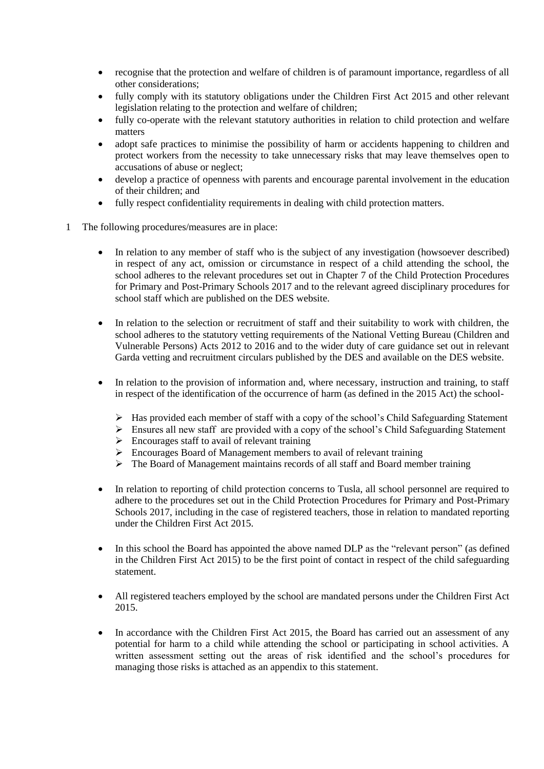- recognise that the protection and welfare of children is of paramount importance, regardless of all other considerations;
- fully comply with its statutory obligations under the Children First Act 2015 and other relevant legislation relating to the protection and welfare of children;
- fully co-operate with the relevant statutory authorities in relation to child protection and welfare matters
- adopt safe practices to minimise the possibility of harm or accidents happening to children and protect workers from the necessity to take unnecessary risks that may leave themselves open to accusations of abuse or neglect;
- develop a practice of openness with parents and encourage parental involvement in the education of their children; and
- fully respect confidentiality requirements in dealing with child protection matters.
- 1 The following procedures/measures are in place:
	- In relation to any member of staff who is the subject of any investigation (howsoever described) in respect of any act, omission or circumstance in respect of a child attending the school, the school adheres to the relevant procedures set out in Chapter 7 of the Child Protection Procedures for Primary and Post-Primary Schools 2017 and to the relevant agreed disciplinary procedures for school staff which are published on the DES website.
	- In relation to the selection or recruitment of staff and their suitability to work with children, the school adheres to the statutory vetting requirements of the National Vetting Bureau (Children and Vulnerable Persons) Acts 2012 to 2016 and to the wider duty of care guidance set out in relevant Garda vetting and recruitment circulars published by the DES and available on the DES website.
	- In relation to the provision of information and, where necessary, instruction and training, to staff in respect of the identification of the occurrence of harm (as defined in the 2015 Act) the school-
		- ➢ Has provided each member of staff with a copy of the school's Child Safeguarding Statement
		- ➢ Ensures all new staff are provided with a copy of the school's Child Safeguarding Statement
		- $\triangleright$  Encourages staff to avail of relevant training
		- ➢ Encourages Board of Management members to avail of relevant training
		- ➢ The Board of Management maintains records of all staff and Board member training
	- In relation to reporting of child protection concerns to Tusla, all school personnel are required to adhere to the procedures set out in the Child Protection Procedures for Primary and Post-Primary Schools 2017, including in the case of registered teachers, those in relation to mandated reporting under the Children First Act 2015.
	- In this school the Board has appointed the above named DLP as the "relevant person" (as defined in the Children First Act 2015) to be the first point of contact in respect of the child safeguarding statement.
	- All registered teachers employed by the school are mandated persons under the Children First Act 2015.
	- In accordance with the Children First Act 2015, the Board has carried out an assessment of any potential for harm to a child while attending the school or participating in school activities. A written assessment setting out the areas of risk identified and the school's procedures for managing those risks is attached as an appendix to this statement.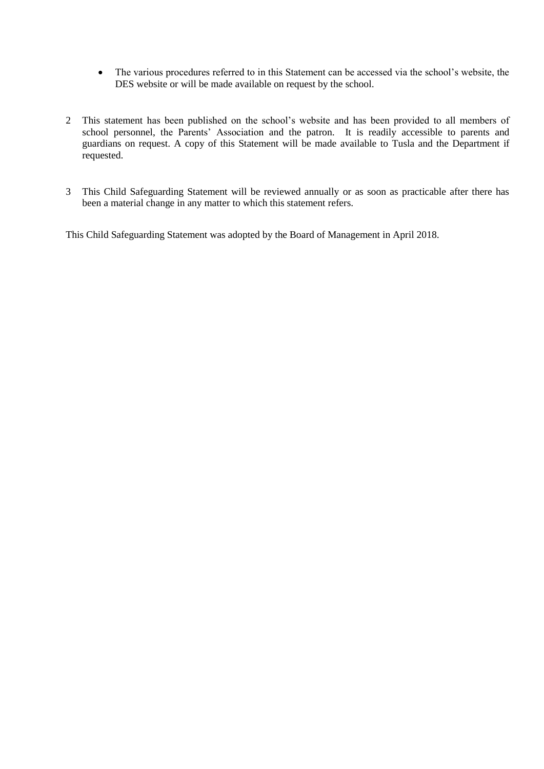- The various procedures referred to in this Statement can be accessed via the school's website, the DES website or will be made available on request by the school.
- 2 This statement has been published on the school's website and has been provided to all members of school personnel, the Parents' Association and the patron. It is readily accessible to parents and guardians on request. A copy of this Statement will be made available to Tusla and the Department if requested.
- 3 This Child Safeguarding Statement will be reviewed annually or as soon as practicable after there has been a material change in any matter to which this statement refers.

This Child Safeguarding Statement was adopted by the Board of Management in April 2018.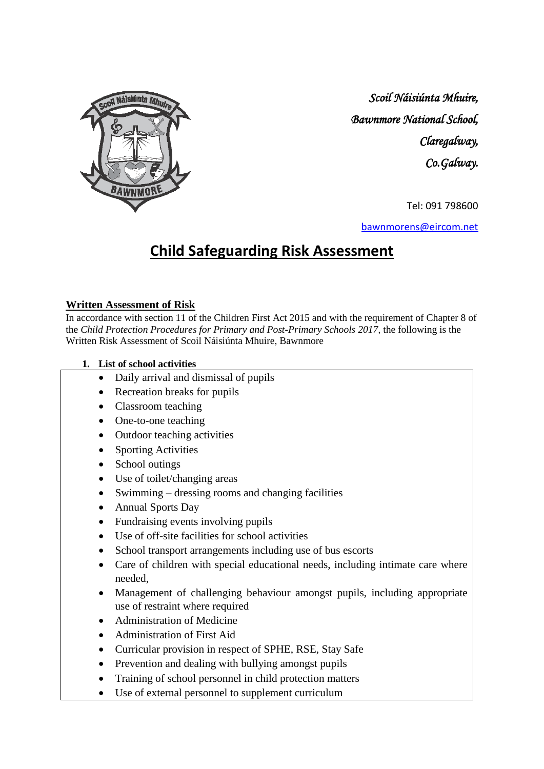

*Scoil Náisiúnta Mhuire, Bawnmore National School, Claregalway, Co.Galway.* 

Tel: 091 798600

[bawnmorens@eircom.net](mailto:bawnmorens@eircom.net)

## **Child Safeguarding Risk Assessment**

#### **Written Assessment of Risk**

In accordance with section 11 of the Children First Act 2015 and with the requirement of Chapter 8 of the *Child Protection Procedures for Primary and Post-Primary Schools 2017*, the following is the Written Risk Assessment of Scoil Náisiúnta Mhuire, Bawnmore

#### **1. List of school activities**

- Daily arrival and dismissal of pupils
- Recreation breaks for pupils
- Classroom teaching
- One-to-one teaching
- Outdoor teaching activities
- Sporting Activities
- School outings
- Use of toilet/changing areas
- Swimming dressing rooms and changing facilities
- Annual Sports Day
- Fundraising events involving pupils
- Use of off-site facilities for school activities
- School transport arrangements including use of bus escorts
- Care of children with special educational needs, including intimate care where needed,
- Management of challenging behaviour amongst pupils, including appropriate use of restraint where required
- Administration of Medicine
- Administration of First Aid
- Curricular provision in respect of SPHE, RSE, Stay Safe
- Prevention and dealing with bullying amongst pupils
- Training of school personnel in child protection matters
- Use of external personnel to supplement curriculum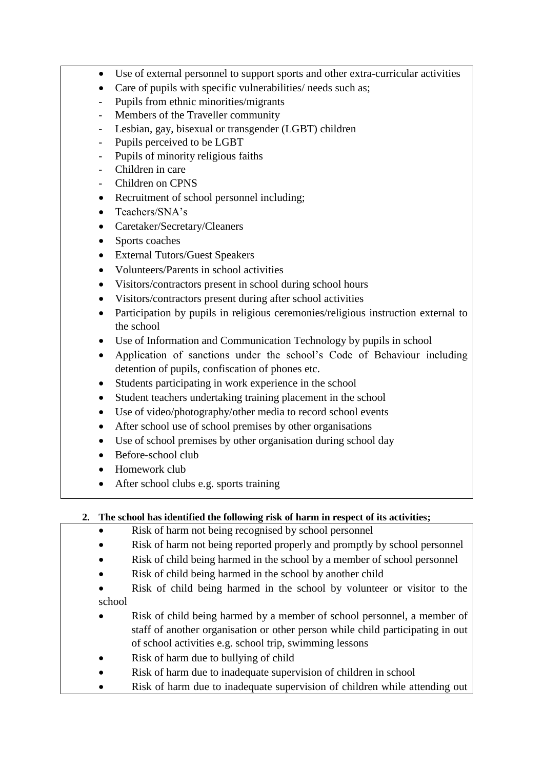- Use of external personnel to support sports and other extra-curricular activities
- Care of pupils with specific vulnerabilities/ needs such as;
- Pupils from ethnic minorities/migrants
- Members of the Traveller community
- Lesbian, gay, bisexual or transgender (LGBT) children
- Pupils perceived to be LGBT
- Pupils of minority religious faiths
- Children in care
- Children on CPNS
- Recruitment of school personnel including;
- Teachers/SNA's
- Caretaker/Secretary/Cleaners
- Sports coaches
- External Tutors/Guest Speakers
- Volunteers/Parents in school activities
- Visitors/contractors present in school during school hours
- Visitors/contractors present during after school activities
- Participation by pupils in religious ceremonies/religious instruction external to the school
- Use of Information and Communication Technology by pupils in school
- Application of sanctions under the school's Code of Behaviour including detention of pupils, confiscation of phones etc.
- Students participating in work experience in the school
- Student teachers undertaking training placement in the school
- Use of video/photography/other media to record school events
- After school use of school premises by other organisations
- Use of school premises by other organisation during school day
- Before-school club
- Homework club
- After school clubs e.g. sports training

### **2. The school has identified the following risk of harm in respect of its activities;**

- Risk of harm not being recognised by school personnel
- Risk of harm not being reported properly and promptly by school personnel
- Risk of child being harmed in the school by a member of school personnel
- Risk of child being harmed in the school by another child
- Risk of child being harmed in the school by volunteer or visitor to the school
- Risk of child being harmed by a member of school personnel, a member of staff of another organisation or other person while child participating in out of school activities e.g. school trip, swimming lessons
- Risk of harm due to bullying of child
- Risk of harm due to inadequate supervision of children in school
- Risk of harm due to inadequate supervision of children while attending out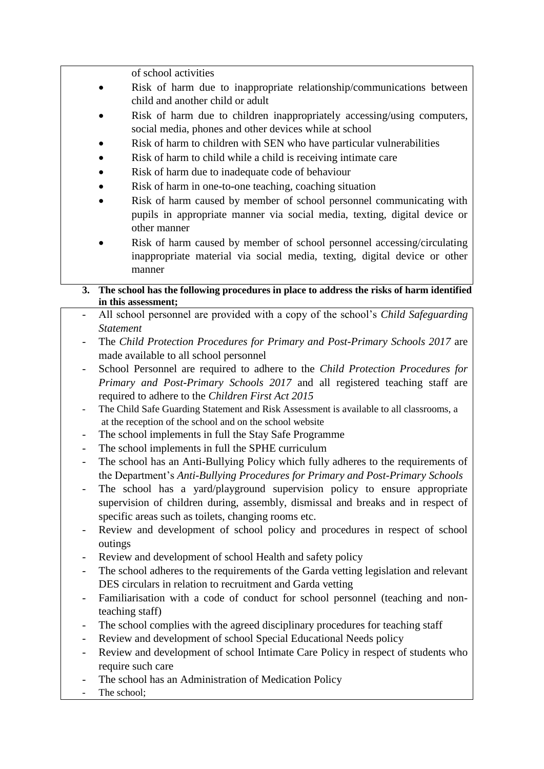of school activities

- Risk of harm due to inappropriate relationship/communications between child and another child or adult
- Risk of harm due to children inappropriately accessing/using computers, social media, phones and other devices while at school
- Risk of harm to children with SEN who have particular vulnerabilities
- Risk of harm to child while a child is receiving intimate care
- Risk of harm due to inadequate code of behaviour
- Risk of harm in one-to-one teaching, coaching situation
- Risk of harm caused by member of school personnel communicating with pupils in appropriate manner via social media, texting, digital device or other manner
- Risk of harm caused by member of school personnel accessing/circulating inappropriate material via social media, texting, digital device or other manner
- **3. The school has the following procedures in place to address the risks of harm identified in this assessment;**
- All school personnel are provided with a copy of the school's *Child Safeguarding Statement*
- The *Child Protection Procedures for Primary and Post-Primary Schools 2017* are made available to all school personnel
- School Personnel are required to adhere to the *Child Protection Procedures for Primary and Post-Primary Schools 2017* and all registered teaching staff are required to adhere to the *Children First Act 2015*
- The Child Safe Guarding Statement and Risk Assessment is available to all classrooms, a at the reception of the school and on the school website
- The school implements in full the Stay Safe Programme
- The school implements in full the SPHE curriculum
- The school has an Anti-Bullying Policy which fully adheres to the requirements of the Department's *Anti-Bullying Procedures for Primary and Post-Primary Schools*
- The school has a yard/playground supervision policy to ensure appropriate supervision of children during, assembly, dismissal and breaks and in respect of specific areas such as toilets, changing rooms etc.
- Review and development of school policy and procedures in respect of school outings
- Review and development of school Health and safety policy
- The school adheres to the requirements of the Garda vetting legislation and relevant DES circulars in relation to recruitment and Garda vetting
- Familiarisation with a code of conduct for school personnel (teaching and nonteaching staff)
- The school complies with the agreed disciplinary procedures for teaching staff
- Review and development of school Special Educational Needs policy
- Review and development of school Intimate Care Policy in respect of students who require such care
- The school has an Administration of Medication Policy
- The school: